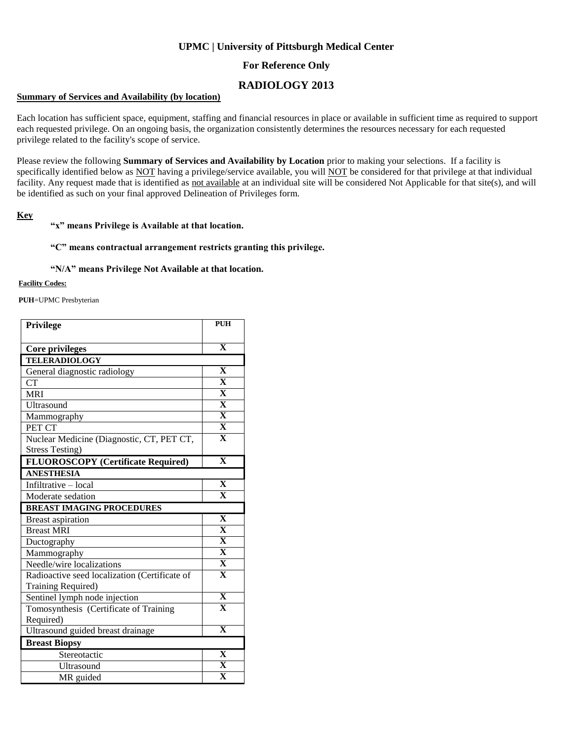## **UPMC | University of Pittsburgh Medical Center**

## **For Reference Only**

# **RADIOLOGY 2013**

### **Summary of Services and Availability (by location)**

Each location has sufficient space, equipment, staffing and financial resources in place or available in sufficient time as required to support each requested privilege. On an ongoing basis, the organization consistently determines the resources necessary for each requested privilege related to the facility's scope of service.

Please review the following **Summary of Services and Availability by Location** prior to making your selections. If a facility is specifically identified below as NOT having a privilege/service available, you will NOT be considered for that privilege at that individual facility. Any request made that is identified as not available at an individual site will be considered Not Applicable for that site(s), and will be identified as such on your final approved Delineation of Privileges form.

### **Key**

### **"x" means Privilege is Available at that location.**

#### **"C" means contractual arrangement restricts granting this privilege.**

#### **"N/A" means Privilege Not Available at that location.**

#### **Facility Codes:**

**PUH**=UPMC Presbyterian

| Privilege                                     | <b>PUH</b>              |
|-----------------------------------------------|-------------------------|
|                                               | $\overline{\mathbf{X}}$ |
| Core privileges                               |                         |
| <b>TELERADIOLOGY</b>                          |                         |
| General diagnostic radiology                  | X                       |
| <b>CT</b>                                     | $\overline{\mathbf{X}}$ |
| <b>MRI</b>                                    | $\overline{\mathbf{X}}$ |
| Ultrasound                                    | $\overline{\mathbf{X}}$ |
| Mammography                                   | $\overline{\mathbf{X}}$ |
| PET CT                                        | $\overline{\mathbf{X}}$ |
| Nuclear Medicine (Diagnostic, CT, PET CT,     | $\overline{\mathbf{X}}$ |
| <b>Stress Testing)</b>                        |                         |
| <b>FLUOROSCOPY</b> (Certificate Required)     | $\overline{\mathbf{X}}$ |
| <b>ANESTHESIA</b>                             |                         |
| Infiltrative - local                          | $\overline{\mathbf{X}}$ |
| Moderate sedation                             | $\overline{\mathbf{X}}$ |
| <b>BREAST IMAGING PROCEDURES</b>              |                         |
| <b>Breast aspiration</b>                      | $\overline{\mathbf{X}}$ |
| <b>Breast MRI</b>                             | $\overline{\mathbf{X}}$ |
| Ductography                                   | $\overline{\mathbf{X}}$ |
| Mammography                                   | $\overline{\mathbf{X}}$ |
| Needle/wire localizations                     | $\overline{\mathbf{X}}$ |
| Radioactive seed localization (Certificate of | $\overline{\mathbf{X}}$ |
| Training Required)                            |                         |
| Sentinel lymph node injection                 | $\overline{\mathbf{X}}$ |
| Tomosynthesis (Certificate of Training        | $\overline{\mathbf{X}}$ |
| Required)                                     |                         |
| Ultrasound guided breast drainage             | $\overline{\mathbf{X}}$ |
| <b>Breast Biopsy</b>                          |                         |
| Stereotactic                                  | $\overline{\mathbf{X}}$ |
| Ultrasound                                    | X                       |
| MR guided                                     | $\overline{\textbf{X}}$ |